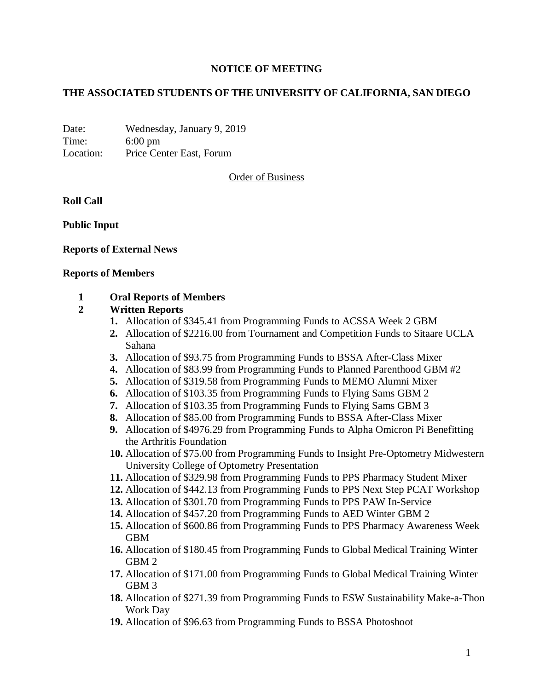# **NOTICE OF MEETING**

# **THE ASSOCIATED STUDENTS OF THE UNIVERSITY OF CALIFORNIA, SAN DIEGO**

Date: Wednesday, January 9, 2019 Time: 6:00 pm Location: Price Center East, Forum

Order of Business

**Roll Call**

**Public Input**

### **Reports of External News**

#### **Reports of Members**

### **1 Oral Reports of Members**

### **2 Written Reports**

- **1.** Allocation of \$345.41 from Programming Funds to ACSSA Week 2 GBM
- **2.** Allocation of \$2216.00 from Tournament and Competition Funds to Sitaare UCLA Sahana
- **3.** Allocation of \$93.75 from Programming Funds to BSSA After-Class Mixer
- **4.** Allocation of \$83.99 from Programming Funds to Planned Parenthood GBM #2
- **5.** Allocation of \$319.58 from Programming Funds to MEMO Alumni Mixer
- **6.** Allocation of \$103.35 from Programming Funds to Flying Sams GBM 2
- **7.** Allocation of \$103.35 from Programming Funds to Flying Sams GBM 3
- **8.** Allocation of \$85.00 from Programming Funds to BSSA After-Class Mixer
- **9.** Allocation of \$4976.29 from Programming Funds to Alpha Omicron Pi Benefitting the Arthritis Foundation
- **10.** Allocation of \$75.00 from Programming Funds to Insight Pre-Optometry Midwestern University College of Optometry Presentation
- **11.** Allocation of \$329.98 from Programming Funds to PPS Pharmacy Student Mixer
- **12.** Allocation of \$442.13 from Programming Funds to PPS Next Step PCAT Workshop
- **13.** Allocation of \$301.70 from Programming Funds to PPS PAW In-Service
- **14.** Allocation of \$457.20 from Programming Funds to AED Winter GBM 2
- **15.** Allocation of \$600.86 from Programming Funds to PPS Pharmacy Awareness Week GBM
- **16.** Allocation of \$180.45 from Programming Funds to Global Medical Training Winter GBM 2
- **17.** Allocation of \$171.00 from Programming Funds to Global Medical Training Winter GBM 3
- **18.** Allocation of \$271.39 from Programming Funds to ESW Sustainability Make-a-Thon Work Day
- **19.** Allocation of \$96.63 from Programming Funds to BSSA Photoshoot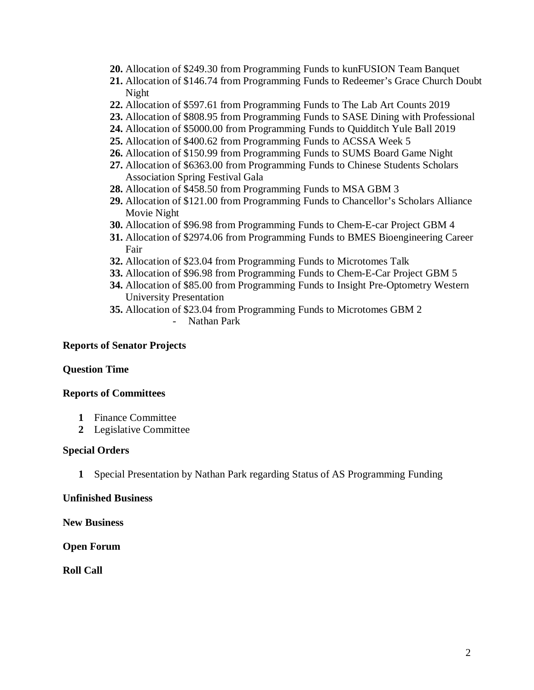- **20.** Allocation of \$249.30 from Programming Funds to kunFUSION Team Banquet
- **21.** Allocation of \$146.74 from Programming Funds to Redeemer's Grace Church Doubt Night
- **22.** Allocation of \$597.61 from Programming Funds to The Lab Art Counts 2019
- **23.** Allocation of \$808.95 from Programming Funds to SASE Dining with Professional
- **24.** Allocation of \$5000.00 from Programming Funds to Quidditch Yule Ball 2019
- **25.** Allocation of \$400.62 from Programming Funds to ACSSA Week 5
- **26.** Allocation of \$150.99 from Programming Funds to SUMS Board Game Night
- **27.** Allocation of \$6363.00 from Programming Funds to Chinese Students Scholars Association Spring Festival Gala
- **28.** Allocation of \$458.50 from Programming Funds to MSA GBM 3
- **29.** Allocation of \$121.00 from Programming Funds to Chancellor's Scholars Alliance Movie Night
- **30.** Allocation of \$96.98 from Programming Funds to Chem-E-car Project GBM 4
- **31.** Allocation of \$2974.06 from Programming Funds to BMES Bioengineering Career Fair
- **32.** Allocation of \$23.04 from Programming Funds to Microtomes Talk
- **33.** Allocation of \$96.98 from Programming Funds to Chem-E-Car Project GBM 5
- **34.** Allocation of \$85.00 from Programming Funds to Insight Pre-Optometry Western University Presentation
- **35.** Allocation of \$23.04 from Programming Funds to Microtomes GBM 2
	- Nathan Park

### **Reports of Senator Projects**

### **Question Time**

### **Reports of Committees**

- **1** Finance Committee
- **2** Legislative Committee

### **Special Orders**

**1** Special Presentation by Nathan Park regarding Status of AS Programming Funding

### **Unfinished Business**

**New Business**

**Open Forum**

**Roll Call**